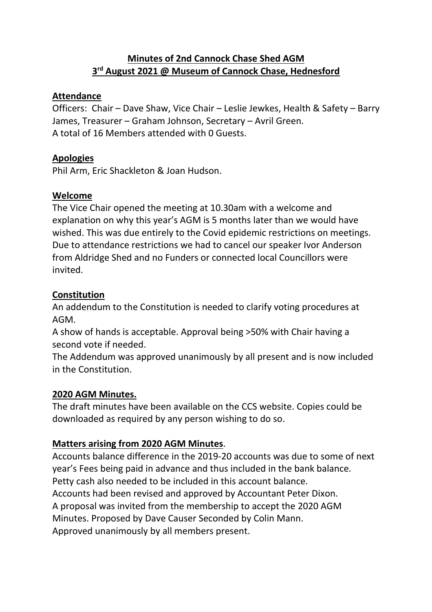# **Minutes of 2nd Cannock Chase Shed AGM 3 rd August 2021 @ Museum of Cannock Chase, Hednesford**

## **Attendance**

Officers: Chair – Dave Shaw, Vice Chair – Leslie Jewkes, Health & Safety – Barry James, Treasurer – Graham Johnson, Secretary – Avril Green. A total of 16 Members attended with 0 Guests.

# **Apologies**

Phil Arm, Eric Shackleton & Joan Hudson.

## **Welcome**

The Vice Chair opened the meeting at 10.30am with a welcome and explanation on why this year's AGM is 5 months later than we would have wished. This was due entirely to the Covid epidemic restrictions on meetings. Due to attendance restrictions we had to cancel our speaker Ivor Anderson from Aldridge Shed and no Funders or connected local Councillors were invited.

# **Constitution**

An addendum to the Constitution is needed to clarify voting procedures at AGM.

A show of hands is acceptable. Approval being >50% with Chair having a second vote if needed.

The Addendum was approved unanimously by all present and is now included in the Constitution.

# **2020 AGM Minutes.**

The draft minutes have been available on the CCS website. Copies could be downloaded as required by any person wishing to do so.

# **Matters arising from 2020 AGM Minutes**.

Accounts balance difference in the 2019-20 accounts was due to some of next year's Fees being paid in advance and thus included in the bank balance. Petty cash also needed to be included in this account balance. Accounts had been revised and approved by Accountant Peter Dixon. A proposal was invited from the membership to accept the 2020 AGM Minutes. Proposed by Dave Causer Seconded by Colin Mann. Approved unanimously by all members present.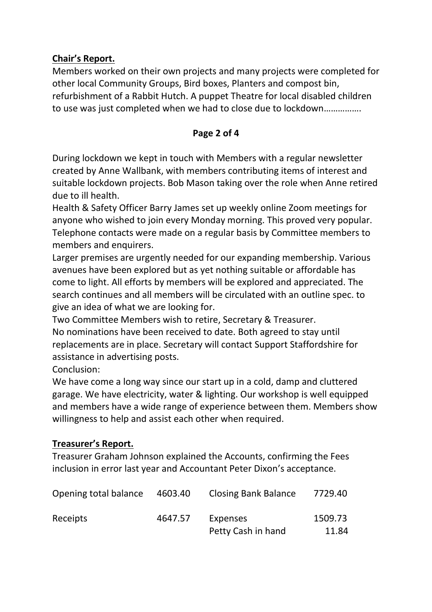## **Chair's Report.**

Members worked on their own projects and many projects were completed for other local Community Groups, Bird boxes, Planters and compost bin, refurbishment of a Rabbit Hutch. A puppet Theatre for local disabled children to use was just completed when we had to close due to lockdown…………….

#### **Page 2 of 4**

During lockdown we kept in touch with Members with a regular newsletter created by Anne Wallbank, with members contributing items of interest and suitable lockdown projects. Bob Mason taking over the role when Anne retired due to ill health.

Health & Safety Officer Barry James set up weekly online Zoom meetings for anyone who wished to join every Monday morning. This proved very popular. Telephone contacts were made on a regular basis by Committee members to members and enquirers.

Larger premises are urgently needed for our expanding membership. Various avenues have been explored but as yet nothing suitable or affordable has come to light. All efforts by members will be explored and appreciated. The search continues and all members will be circulated with an outline spec. to give an idea of what we are looking for.

Two Committee Members wish to retire, Secretary & Treasurer. No nominations have been received to date. Both agreed to stay until replacements are in place. Secretary will contact Support Staffordshire for assistance in advertising posts.

Conclusion:

We have come a long way since our start up in a cold, damp and cluttered garage. We have electricity, water & lighting. Our workshop is well equipped and members have a wide range of experience between them. Members show willingness to help and assist each other when required.

# **Treasurer's Report.**

Treasurer Graham Johnson explained the Accounts, confirming the Fees inclusion in error last year and Accountant Peter Dixon's acceptance.

| Opening total balance | 4603.40 | <b>Closing Bank Balance</b>           | 7729.40          |
|-----------------------|---------|---------------------------------------|------------------|
| Receipts              | 4647.57 | <b>Expenses</b><br>Petty Cash in hand | 1509.73<br>11.84 |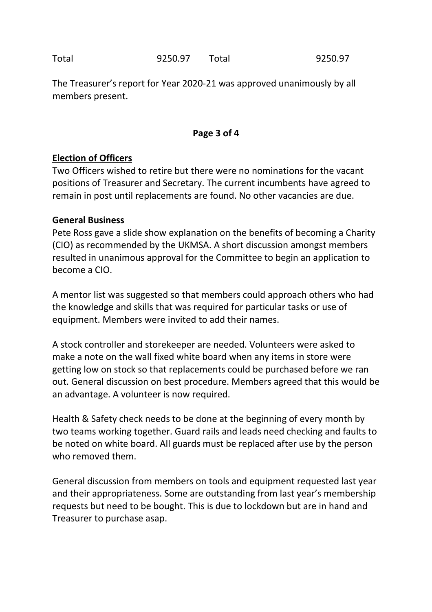Total 9250.97 Total 9250.97

The Treasurer's report for Year 2020-21 was approved unanimously by all members present.

#### **Page 3 of 4**

## **Election of Officers**

Two Officers wished to retire but there were no nominations for the vacant positions of Treasurer and Secretary. The current incumbents have agreed to remain in post until replacements are found. No other vacancies are due.

#### **General Business**

Pete Ross gave a slide show explanation on the benefits of becoming a Charity (CIO) as recommended by the UKMSA. A short discussion amongst members resulted in unanimous approval for the Committee to begin an application to become a CIO.

A mentor list was suggested so that members could approach others who had the knowledge and skills that was required for particular tasks or use of equipment. Members were invited to add their names.

A stock controller and storekeeper are needed. Volunteers were asked to make a note on the wall fixed white board when any items in store were getting low on stock so that replacements could be purchased before we ran out. General discussion on best procedure. Members agreed that this would be an advantage. A volunteer is now required.

Health & Safety check needs to be done at the beginning of every month by two teams working together. Guard rails and leads need checking and faults to be noted on white board. All guards must be replaced after use by the person who removed them.

General discussion from members on tools and equipment requested last year and their appropriateness. Some are outstanding from last year's membership requests but need to be bought. This is due to lockdown but are in hand and Treasurer to purchase asap.